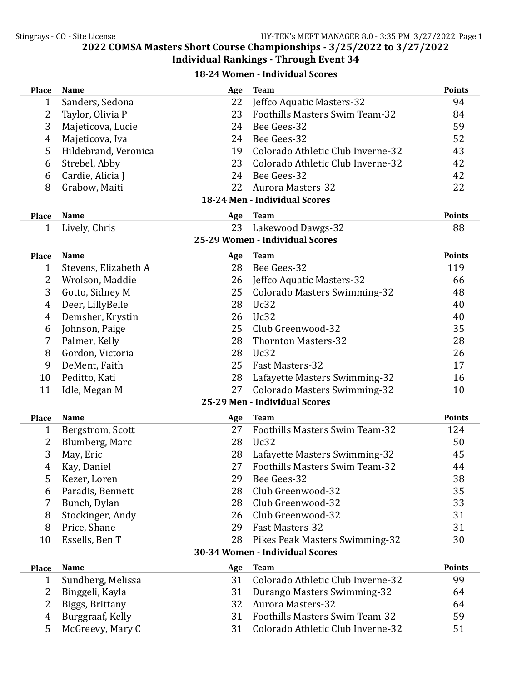18-24 Women - Individual Scores

| <b>Place</b>                    | <b>Name</b>          | Age | <b>Team</b>                           | <b>Points</b> |  |
|---------------------------------|----------------------|-----|---------------------------------------|---------------|--|
| $\mathbf{1}$                    | Sanders, Sedona      | 22  | Jeffco Aquatic Masters-32             | 94            |  |
| 2                               | Taylor, Olivia P     | 23  | <b>Foothills Masters Swim Team-32</b> | 84            |  |
| 3                               | Majeticova, Lucie    | 24  | Bee Gees-32                           | 59            |  |
| 4                               | Majeticova, Iva      | 24  | Bee Gees-32                           | 52            |  |
| 5                               | Hildebrand, Veronica | 19  | Colorado Athletic Club Inverne-32     | 43            |  |
| 6                               | Strebel, Abby        | 23  | Colorado Athletic Club Inverne-32     | 42            |  |
| 6                               | Cardie, Alicia J     | 24  | Bee Gees-32                           | 42            |  |
| 8                               | Grabow, Maiti        | 22  | <b>Aurora Masters-32</b>              | 22            |  |
|                                 |                      |     | 18-24 Men - Individual Scores         |               |  |
| <b>Place</b>                    | <b>Name</b>          | Age | <b>Team</b>                           | <b>Points</b> |  |
| 1                               | Lively, Chris        | 23  | Lakewood Dawgs-32                     | 88            |  |
|                                 |                      |     | 25-29 Women - Individual Scores       |               |  |
| <b>Place</b>                    | <b>Name</b>          | Age | <b>Team</b>                           | <b>Points</b> |  |
| $\mathbf{1}$                    | Stevens, Elizabeth A | 28  | Bee Gees-32                           | 119           |  |
| 2                               | Wrolson, Maddie      | 26  | Jeffco Aquatic Masters-32             | 66            |  |
| 3                               | Gotto, Sidney M      | 25  | <b>Colorado Masters Swimming-32</b>   | 48            |  |
| 4                               | Deer, LillyBelle     | 28  | Uc32                                  | 40            |  |
| 4                               | Demsher, Krystin     | 26  | Uc32                                  | 40            |  |
| 6                               | Johnson, Paige       | 25  | Club Greenwood-32                     | 35            |  |
| 7                               | Palmer, Kelly        | 28  | <b>Thornton Masters-32</b>            | 28            |  |
| 8                               | Gordon, Victoria     | 28  | Uc32                                  | 26            |  |
| 9                               | DeMent, Faith        | 25  | <b>Fast Masters-32</b>                | 17            |  |
| 10                              | Peditto, Kati        | 28  | Lafayette Masters Swimming-32         | 16            |  |
| 11                              | Idle, Megan M        | 27  | <b>Colorado Masters Swimming-32</b>   | 10            |  |
|                                 |                      |     | 25-29 Men - Individual Scores         |               |  |
| <b>Place</b>                    | <b>Name</b>          | Age | <b>Team</b>                           | <b>Points</b> |  |
| 1                               | Bergstrom, Scott     | 27  | Foothills Masters Swim Team-32        | 124           |  |
| 2                               | Blumberg, Marc       | 28  | Uc32                                  | 50            |  |
| 3                               | May, Eric            | 28  | Lafayette Masters Swimming-32         | 45            |  |
| 4                               | Kay, Daniel          | 27  | <b>Foothills Masters Swim Team-32</b> | 44            |  |
| 5                               | Kezer, Loren         | 29  | Bee Gees-32                           | 38            |  |
| 6                               | Paradis, Bennett     | 28  | Club Greenwood-32                     | 35            |  |
| 7                               | Bunch, Dylan         | 28  | Club Greenwood-32                     | 33            |  |
| 8                               | Stockinger, Andy     | 26  | Club Greenwood-32                     | 31            |  |
| 8                               | Price, Shane         | 29  | Fast Masters-32                       | 31            |  |
| 10                              | Essells, Ben T       | 28  | Pikes Peak Masters Swimming-32        | 30            |  |
| 30-34 Women - Individual Scores |                      |     |                                       |               |  |
| <b>Place</b>                    | <b>Name</b>          | Age | <b>Team</b>                           | <b>Points</b> |  |
| $\mathbf{1}$                    | Sundberg, Melissa    | 31  | Colorado Athletic Club Inverne-32     | 99            |  |
| 2                               | Binggeli, Kayla      | 31  | Durango Masters Swimming-32           | 64            |  |
| 2                               | Biggs, Brittany      | 32  | <b>Aurora Masters-32</b>              | 64            |  |
| 4                               | Burggraaf, Kelly     | 31  | Foothills Masters Swim Team-32        | 59            |  |
| 5                               | McGreevy, Mary C     | 31  | Colorado Athletic Club Inverne-32     | 51            |  |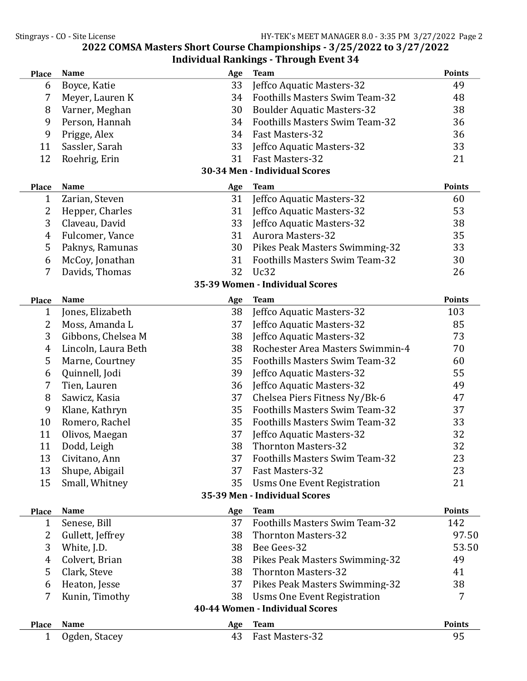| <b>Place</b>                    | <b>Name</b>         | Age       | <b>Team</b>                                           | <b>Points</b> |  |
|---------------------------------|---------------------|-----------|-------------------------------------------------------|---------------|--|
| 6                               | Boyce, Katie        | 33        | Jeffco Aquatic Masters-32                             | 49            |  |
| 7                               | Meyer, Lauren K     | 34        | Foothills Masters Swim Team-32                        | 48            |  |
| 8                               | Varner, Meghan      | 30        | <b>Boulder Aquatic Masters-32</b>                     | 38            |  |
| 9                               | Person, Hannah      | 34        | <b>Foothills Masters Swim Team-32</b>                 | 36            |  |
| 9                               | Prigge, Alex        | 34        | Fast Masters-32                                       | 36            |  |
| 11                              | Sassler, Sarah      | 33        | Jeffco Aquatic Masters-32                             | 33            |  |
| 12                              | Roehrig, Erin       | 31        | Fast Masters-32                                       | 21            |  |
|                                 |                     |           | 30-34 Men - Individual Scores                         |               |  |
|                                 | <b>Name</b>         |           |                                                       | <b>Points</b> |  |
| <b>Place</b><br>1               | Zarian, Steven      | Age<br>31 | <b>Team</b><br>Jeffco Aquatic Masters-32              | 60            |  |
| 2                               |                     | 31        | Jeffco Aquatic Masters-32                             | 53            |  |
| 3                               | Hepper, Charles     | 33        |                                                       |               |  |
|                                 | Claveau, David      | 31        | Jeffco Aquatic Masters-32<br><b>Aurora Masters-32</b> | 38            |  |
| $\overline{4}$                  | Fulcomer, Vance     |           |                                                       | 35            |  |
| 5                               | Paknys, Ramunas     | 30        | Pikes Peak Masters Swimming-32                        | 33            |  |
| 6                               | McCoy, Jonathan     | 31        | <b>Foothills Masters Swim Team-32</b>                 | 30            |  |
| 7                               | Davids, Thomas      | 32        | Uc32                                                  | 26            |  |
|                                 |                     |           | 35-39 Women - Individual Scores                       |               |  |
| <b>Place</b>                    | <b>Name</b>         | Age       | <b>Team</b>                                           | <b>Points</b> |  |
| 1                               | Jones, Elizabeth    | 38        | Jeffco Aquatic Masters-32                             | 103           |  |
| 2                               | Moss, Amanda L      | 37        | Jeffco Aquatic Masters-32                             | 85            |  |
| 3                               | Gibbons, Chelsea M  | 38        | Jeffco Aquatic Masters-32                             | 73            |  |
| $\overline{4}$                  | Lincoln, Laura Beth | 38        | Rochester Area Masters Swimmin-4                      | 70            |  |
| 5                               | Marne, Courtney     | 35        | Foothills Masters Swim Team-32                        | 60            |  |
| 6                               | Quinnell, Jodi      | 39        | Jeffco Aquatic Masters-32                             | 55            |  |
| 7                               | Tien, Lauren        | 36        | Jeffco Aquatic Masters-32                             | 49            |  |
| 8                               | Sawicz, Kasia       | 37        | Chelsea Piers Fitness Ny/Bk-6                         | 47            |  |
| 9                               | Klane, Kathryn      | 35        | Foothills Masters Swim Team-32                        | 37            |  |
| 10                              | Romero, Rachel      | 35        | Foothills Masters Swim Team-32                        | 33            |  |
| 11                              | Olivos, Maegan      | 37        | Jeffco Aquatic Masters-32                             | 32            |  |
| 11                              | Dodd, Leigh         | 38        | <b>Thornton Masters-32</b>                            | 32            |  |
| 13                              | Civitano, Ann       | 37        | Foothills Masters Swim Team-32                        | 23            |  |
| 13                              | Shupe, Abigail      | 37        | <b>Fast Masters-32</b>                                | 23            |  |
| 15                              | Small, Whitney      | 35        | <b>Usms One Event Registration</b>                    | 21            |  |
|                                 |                     |           | 35-39 Men - Individual Scores                         |               |  |
| <b>Place</b>                    | <b>Name</b>         | Age       | <b>Team</b>                                           | <b>Points</b> |  |
| $\mathbf{1}$                    | Senese, Bill        | 37        | Foothills Masters Swim Team-32                        | 142           |  |
| 2                               | Gullett, Jeffrey    | 38        | <b>Thornton Masters-32</b>                            | 97.50         |  |
| 3                               | White, J.D.         | 38        | Bee Gees-32                                           | 53.50         |  |
| 4                               | Colvert, Brian      | 38        | Pikes Peak Masters Swimming-32                        | 49            |  |
| 5                               | Clark, Steve        | 38        | <b>Thornton Masters-32</b>                            | 41            |  |
| 6                               | Heaton, Jesse       | 37        | Pikes Peak Masters Swimming-32                        | 38            |  |
| 7                               |                     | 38        |                                                       | 7             |  |
|                                 | Kunin, Timothy      |           | <b>Usms One Event Registration</b>                    |               |  |
| 40-44 Women - Individual Scores |                     |           |                                                       |               |  |
| <b>Place</b>                    | <b>Name</b>         | Age       | <b>Team</b>                                           | <b>Points</b> |  |
| $\mathbf{1}$                    | Ogden, Stacey       | 43        | Fast Masters-32                                       | 95            |  |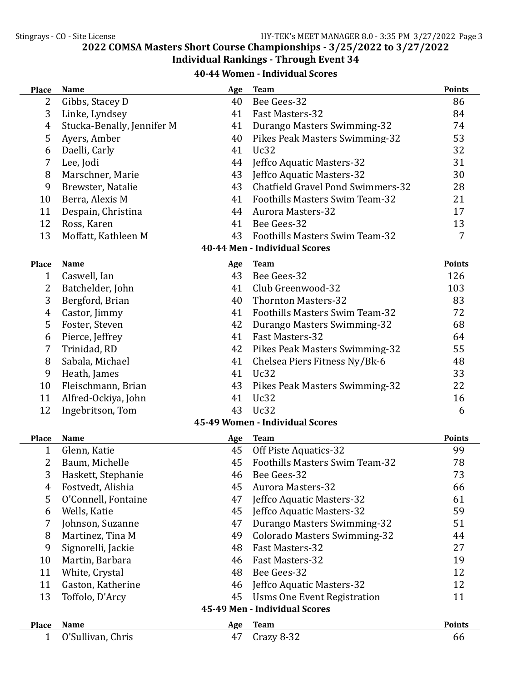## 2022 COMSA Masters Short Course Championships - 3/25/2022 to 3/27/2022

## Individual Rankings - Through Event 34

| 40-44 Women - Individual Scores |  |
|---------------------------------|--|
|---------------------------------|--|

| <b>Place</b>                  | <b>Name</b>                          | Age       | <b>Team</b>                                             | <b>Points</b> |  |
|-------------------------------|--------------------------------------|-----------|---------------------------------------------------------|---------------|--|
| 2                             | Gibbs, Stacey D                      | 40        | Bee Gees-32                                             | 86            |  |
| 3                             | Linke, Lyndsey                       | 41        | Fast Masters-32                                         | 84            |  |
| $\overline{4}$                | Stucka-Benally, Jennifer M           | 41        | Durango Masters Swimming-32                             | 74            |  |
| 5                             | Ayers, Amber                         | 40        | Pikes Peak Masters Swimming-32                          | 53            |  |
| 6                             | Daelli, Carly                        | 41        | Uc32                                                    | 32            |  |
| 7                             | Lee, Jodi                            | 44        | Jeffco Aquatic Masters-32                               | 31            |  |
| 8                             | Marschner, Marie                     | 43        | Jeffco Aquatic Masters-32                               | 30            |  |
| 9                             | Brewster, Natalie                    | 43        | <b>Chatfield Gravel Pond Swimmers-32</b>                | 28            |  |
| 10                            | Berra, Alexis M                      | 41        | Foothills Masters Swim Team-32                          | 21            |  |
| 11                            | Despain, Christina                   | 44        | <b>Aurora Masters-32</b>                                | 17            |  |
| 12                            | Ross, Karen                          | 41        | Bee Gees-32                                             | 13            |  |
| 13                            | Moffatt, Kathleen M                  | 43        | Foothills Masters Swim Team-32                          | 7             |  |
|                               |                                      |           | 40-44 Men - Individual Scores                           |               |  |
| <b>Place</b>                  | <b>Name</b>                          | Age       | <b>Team</b>                                             | <b>Points</b> |  |
| 1                             | Caswell, Ian                         | 43        | Bee Gees-32                                             | 126           |  |
| 2                             | Batchelder, John                     | 41        | Club Greenwood-32                                       | 103           |  |
| 3                             | Bergford, Brian                      | 40        | <b>Thornton Masters-32</b>                              | 83            |  |
| 4                             | Castor, Jimmy                        | 41        | <b>Foothills Masters Swim Team-32</b>                   | 72            |  |
| 5                             | Foster, Steven                       | 42        | Durango Masters Swimming-32                             | 68            |  |
| 6                             | Pierce, Jeffrey                      | 41        | Fast Masters-32                                         | 64            |  |
| 7                             | Trinidad, RD                         | 42        | Pikes Peak Masters Swimming-32                          | 55            |  |
| 8                             | Sabala, Michael                      | 41        | Chelsea Piers Fitness Ny/Bk-6                           | 48            |  |
| 9                             | Heath, James                         | 41        | Uc32                                                    | 33            |  |
| 10                            | Fleischmann, Brian                   | 43        | Pikes Peak Masters Swimming-32                          | 22            |  |
| 11                            | Alfred-Ockiya, John                  | 41        | Uc32                                                    | 16            |  |
| 12                            | Ingebritson, Tom                     | 43        | Uc32                                                    | 6             |  |
|                               |                                      |           | 45-49 Women - Individual Scores                         |               |  |
|                               |                                      |           |                                                         | <b>Points</b> |  |
| <b>Place</b><br>1             | Name                                 | Age<br>45 | <b>Team</b>                                             | 99            |  |
| $\overline{2}$                | Glenn, Katie                         | 45        | Off Piste Aquatics-32<br>Foothills Masters Swim Team-32 | 78            |  |
| 3                             | Baum, Michelle<br>Haskett, Stephanie |           | Bee Gees-32                                             | 73            |  |
| $\overline{4}$                | Fostvedt, Alishia                    | 46<br>45  | <b>Aurora Masters-32</b>                                | 66            |  |
| 5                             | O'Connell, Fontaine                  | 47        | Jeffco Aquatic Masters-32                               | 61            |  |
| 6                             | Wells, Katie                         | 45        | Jeffco Aquatic Masters-32                               | 59            |  |
| 7                             | Johnson, Suzanne                     | 47        | Durango Masters Swimming-32                             | 51            |  |
| 8                             | Martinez, Tina M                     | 49        | <b>Colorado Masters Swimming-32</b>                     | 44            |  |
| 9                             | Signorelli, Jackie                   | 48        | Fast Masters-32                                         | 27            |  |
| 10                            | Martin, Barbara                      | 46        | Fast Masters-32                                         | 19            |  |
| 11                            |                                      | 48        | Bee Gees-32                                             | 12            |  |
| 11                            | White, Crystal<br>Gaston, Katherine  | 46        | Jeffco Aquatic Masters-32                               | 12            |  |
| 13                            |                                      | 45        |                                                         |               |  |
|                               | Toffolo, D'Arcy                      |           | <b>Usms One Event Registration</b>                      | 11            |  |
| 45-49 Men - Individual Scores |                                      |           |                                                         |               |  |
| <b>Place</b>                  | <b>Name</b>                          | Age       | <b>Team</b>                                             | <b>Points</b> |  |
| $\mathbf{1}$                  | O'Sullivan, Chris                    | 47        | Crazy 8-32                                              | 66            |  |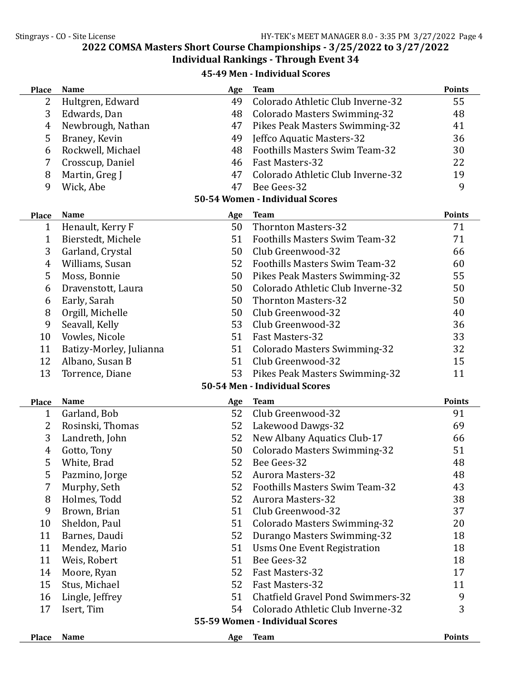2022 COMSA Masters Short Course Championships - 3/25/2022 to 3/27/2022

## Individual Rankings - Through Event 34

45-49 Men - Individual Scores

| <b>Place</b>                    | <b>Name</b>             | Age | <b>Team</b>                              | <b>Points</b> |
|---------------------------------|-------------------------|-----|------------------------------------------|---------------|
| 2                               | Hultgren, Edward        | 49  | Colorado Athletic Club Inverne-32        | 55            |
| 3                               | Edwards, Dan            | 48  | <b>Colorado Masters Swimming-32</b>      | 48            |
| $\overline{4}$                  | Newbrough, Nathan       | 47  | Pikes Peak Masters Swimming-32           | 41            |
| 5                               | Braney, Kevin           | 49  | Jeffco Aquatic Masters-32                | 36            |
| 6                               | Rockwell, Michael       | 48  | <b>Foothills Masters Swim Team-32</b>    | 30            |
| 7                               | Crosscup, Daniel        | 46  | Fast Masters-32                          | 22            |
| 8                               | Martin, Greg J          | 47  | Colorado Athletic Club Inverne-32        | 19            |
| 9                               | Wick, Abe               | 47  | Bee Gees-32                              | 9             |
|                                 |                         |     | 50-54 Women - Individual Scores          |               |
| <b>Place</b>                    | <b>Name</b>             | Age | <b>Team</b>                              | <b>Points</b> |
| $\mathbf 1$                     | Henault, Kerry F        | 50  | <b>Thornton Masters-32</b>               | 71            |
| 1                               | Bierstedt, Michele      | 51  | Foothills Masters Swim Team-32           | 71            |
| 3                               | Garland, Crystal        | 50  | Club Greenwood-32                        | 66            |
| $\overline{4}$                  | Williams, Susan         | 52  | <b>Foothills Masters Swim Team-32</b>    | 60            |
| 5                               | Moss, Bonnie            | 50  | Pikes Peak Masters Swimming-32           | 55            |
| 6                               | Dravenstott, Laura      | 50  | Colorado Athletic Club Inverne-32        | 50            |
| 6                               | Early, Sarah            | 50  | <b>Thornton Masters-32</b>               | 50            |
| 8                               | Orgill, Michelle        | 50  | Club Greenwood-32                        | 40            |
| 9                               | Seavall, Kelly          | 53  | Club Greenwood-32                        | 36            |
| 10                              | Vowles, Nicole          | 51  | Fast Masters-32                          | 33            |
| 11                              | Batizy-Morley, Julianna | 51  | <b>Colorado Masters Swimming-32</b>      | 32            |
| 12                              | Albano, Susan B         | 51  | Club Greenwood-32                        | 15            |
| 13                              | Torrence, Diane         | 53  | Pikes Peak Masters Swimming-32           | 11            |
|                                 |                         |     | 50-54 Men - Individual Scores            |               |
| <b>Place</b>                    | <b>Name</b>             | Age | <b>Team</b>                              | <b>Points</b> |
| 1                               | Garland, Bob            | 52  | Club Greenwood-32                        | 91            |
| 2                               | Rosinski, Thomas        | 52  | Lakewood Dawgs-32                        | 69            |
| 3                               | Landreth, John          | 52  | New Albany Aquatics Club-17              | 66            |
| $\overline{4}$                  | Gotto, Tony             | 50  | <b>Colorado Masters Swimming-32</b>      | 51            |
| 5                               | White, Brad             | 52  | Bee Gees-32                              | 48            |
| 5                               | Pazmino, Jorge          | 52  | <b>Aurora Masters-32</b>                 | 48            |
| 7                               | Murphy, Seth            | 52  | Foothills Masters Swim Team-32           | 43            |
| 8                               | Holmes, Todd            | 52  | <b>Aurora Masters-32</b>                 | 38            |
| 9                               | Brown, Brian            | 51  | Club Greenwood-32                        | 37            |
| 10                              | Sheldon, Paul           | 51  | <b>Colorado Masters Swimming-32</b>      | 20            |
| 11                              | Barnes, Daudi           | 52  | Durango Masters Swimming-32              | 18            |
| 11                              | Mendez, Mario           | 51  | <b>Usms One Event Registration</b>       | 18            |
| 11                              | Weis, Robert            | 51  | Bee Gees-32                              | 18            |
| 14                              | Moore, Ryan             | 52  | Fast Masters-32                          | 17            |
| 15                              | Stus, Michael           | 52  | Fast Masters-32                          | 11            |
| 16                              | Lingle, Jeffrey         | 51  | <b>Chatfield Gravel Pond Swimmers-32</b> | 9             |
| 17                              | Isert, Tim              | 54  | Colorado Athletic Club Inverne-32        | 3             |
| 55-59 Women - Individual Scores |                         |     |                                          |               |
| <b>Place</b>                    | Name                    | Age | <b>Team</b>                              | <b>Points</b> |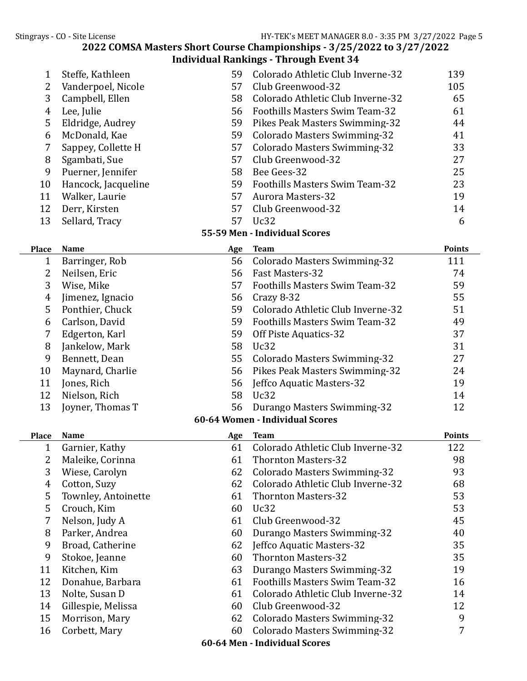# 2022 COMSA Masters Short Course Championships - 3/25/2022 to 3/27/2022

|              |                     |     | <b>Individual Rankings - Through Event 34</b> |               |
|--------------|---------------------|-----|-----------------------------------------------|---------------|
| $\mathbf{1}$ | Steffe, Kathleen    | 59  | Colorado Athletic Club Inverne-32             | 139           |
| 2            | Vanderpoel, Nicole  | 57  | Club Greenwood-32                             | 105           |
| 3            | Campbell, Ellen     | 58  | Colorado Athletic Club Inverne-32             | 65            |
| 4            | Lee, Julie          | 56  | <b>Foothills Masters Swim Team-32</b>         | 61            |
| 5            | Eldridge, Audrey    | 59  | Pikes Peak Masters Swimming-32                | 44            |
| 6            | McDonald, Kae       | 59  | Colorado Masters Swimming-32                  | 41            |
| 7            | Sappey, Collette H  | 57  | <b>Colorado Masters Swimming-32</b>           | 33            |
| 8            | Sgambati, Sue       | 57  | Club Greenwood-32                             | 27            |
| 9            | Puerner, Jennifer   | 58  | Bee Gees-32                                   | 25            |
| 10           | Hancock, Jacqueline | 59  | <b>Foothills Masters Swim Team-32</b>         | 23            |
| 11           | Walker, Laurie      | 57  | <b>Aurora Masters-32</b>                      | 19            |
| 12           | Derr, Kirsten       | 57  | Club Greenwood-32                             | 14            |
| 13           | Sellard, Tracy      | 57  | Uc32                                          | 6             |
|              |                     |     | 55-59 Men - Individual Scores                 |               |
| <b>Place</b> | <b>Name</b>         | Age | <b>Team</b>                                   | <b>Points</b> |
| $\mathbf 1$  | Barringer, Rob      | 56  | <b>Colorado Masters Swimming-32</b>           | 111           |
| 2            | Neilsen, Eric       | 56  | Fast Masters-32                               | 74            |
| 3            | Wise, Mike          | 57  | Foothills Masters Swim Team-32                | 59            |
| 4            | Jimenez, Ignacio    | 56  | Crazy 8-32                                    | 55            |
| 5            | Ponthier, Chuck     | 59  | Colorado Athletic Club Inverne-32             | 51            |
| 6            | Carlson, David      | 59  | <b>Foothills Masters Swim Team-32</b>         | 49            |
| 7            | Edgerton, Karl      | 59  | Off Piste Aquatics-32                         | 37            |
| 8            | Jankelow, Mark      | 58  | Uc32                                          | 31            |
| 9            | Bennett, Dean       | 55  | <b>Colorado Masters Swimming-32</b>           | 27            |
| 10           | Maynard, Charlie    | 56  | Pikes Peak Masters Swimming-32                | 24            |
| 11           | Jones, Rich         | 56  | Jeffco Aquatic Masters-32                     | 19            |
| 12           | Nielson, Rich       | 58  | Uc32                                          | 14            |
| 13           | Joyner, Thomas T    | 56  | Durango Masters Swimming-32                   | 12            |
|              |                     |     | 60-64 Women - Individual Scores               |               |
| <b>Place</b> | <b>Name</b>         | Age | <b>Team</b>                                   | <b>Points</b> |
| 1            | Garnier, Kathy      | 61  | Colorado Athletic Club Inverne-32             | 122           |
| 2            | Maleike, Corinna    | 61  | <b>Thornton Masters-32</b>                    | 98            |
| 3            | Wiese, Carolyn      | 62  | Colorado Masters Swimming-32                  | 93            |
| 4            | Cotton, Suzy        | 62  | Colorado Athletic Club Inverne-32             | 68            |
| 5            | Townley, Antoinette | 61  | <b>Thornton Masters-32</b>                    | 53            |
| 5            | Crouch, Kim         | 60  | Uc32                                          | 53            |
| 7            | Nelson, Judy A      | 61  | Club Greenwood-32                             | 45            |
| 8            | Parker, Andrea      | 60  | Durango Masters Swimming-32                   | 40            |
| 9            | Broad, Catherine    | 62  | Jeffco Aquatic Masters-32                     | 35            |
| 9            | Stokoe, Jeanne      | 60  | <b>Thornton Masters-32</b>                    | 35            |
| 11           | Kitchen, Kim        | 63  | Durango Masters Swimming-32                   | 19            |
| 12           | Donahue, Barbara    | 61  | Foothills Masters Swim Team-32                | 16            |
| 13           | Nolte, Susan D      | 61  | Colorado Athletic Club Inverne-32             | 14            |
| 14           | Gillespie, Melissa  | 60  | Club Greenwood-32                             | 12            |
| 15           | Morrison, Mary      | 62  | <b>Colorado Masters Swimming-32</b>           | 9             |
| 16           | Corbett, Mary       | 60  | <b>Colorado Masters Swimming-32</b>           | 7             |

60-64 Men - Individual Scores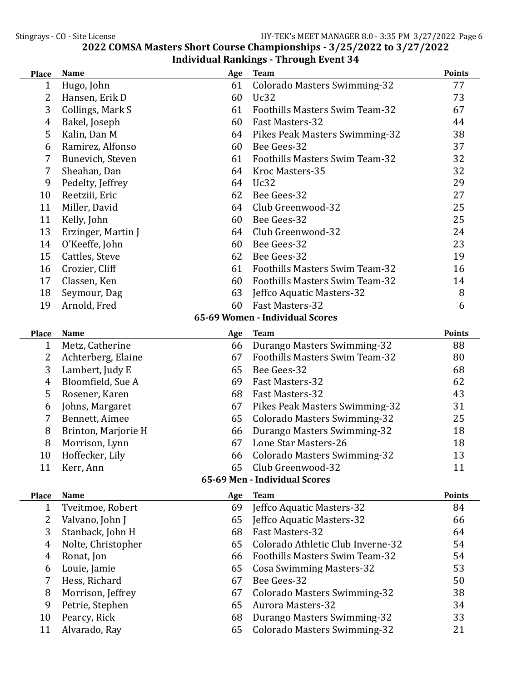| <b>Place</b>                  | <b>Name</b>         | Age | <b>Team</b>                           | <b>Points</b> |  |
|-------------------------------|---------------------|-----|---------------------------------------|---------------|--|
| 1                             | Hugo, John          | 61  | <b>Colorado Masters Swimming-32</b>   | 77            |  |
| $\overline{2}$                | Hansen, Erik D      | 60  | Uc32                                  | 73            |  |
| 3                             | Collings, Mark S    | 61  | Foothills Masters Swim Team-32        | 67            |  |
| 4                             | Bakel, Joseph       | 60  | <b>Fast Masters-32</b>                | 44            |  |
| 5                             | Kalin, Dan M        | 64  | Pikes Peak Masters Swimming-32        | 38            |  |
| 6                             | Ramirez, Alfonso    | 60  | Bee Gees-32                           | 37            |  |
| 7                             | Bunevich, Steven    | 61  | Foothills Masters Swim Team-32        | 32            |  |
| 7                             | Sheahan, Dan        | 64  | Kroc Masters-35                       | 32            |  |
| 9                             | Pedelty, Jeffrey    | 64  | Uc32                                  | 29            |  |
| 10                            | Reetziii, Eric      | 62  | Bee Gees-32                           | 27            |  |
| 11                            | Miller, David       | 64  | Club Greenwood-32                     | 25            |  |
| 11                            | Kelly, John         | 60  | Bee Gees-32                           | 25            |  |
| 13                            | Erzinger, Martin J  | 64  | Club Greenwood-32                     | 24            |  |
| 14                            | O'Keeffe, John      | 60  | Bee Gees-32                           | 23            |  |
| 15                            | Cattles, Steve      | 62  | Bee Gees-32                           | 19            |  |
| 16                            | Crozier, Cliff      | 61  | <b>Foothills Masters Swim Team-32</b> | 16            |  |
| 17                            | Classen, Ken        | 60  | Foothills Masters Swim Team-32        | 14            |  |
| 18                            | Seymour, Dag        | 63  | Jeffco Aquatic Masters-32             | 8             |  |
| 19                            | Arnold, Fred        | 60  | Fast Masters-32                       | 6             |  |
|                               |                     |     | 65-69 Women - Individual Scores       |               |  |
| <b>Place</b>                  | <b>Name</b>         | Age | <b>Team</b>                           | <b>Points</b> |  |
| $\mathbf 1$                   | Metz, Catherine     | 66  | Durango Masters Swimming-32           | 88            |  |
| 2                             | Achterberg, Elaine  | 67  | Foothills Masters Swim Team-32        | 80            |  |
| 3                             | Lambert, Judy E     | 65  | Bee Gees-32                           | 68            |  |
| $\overline{4}$                | Bloomfield, Sue A   | 69  | Fast Masters-32                       | 62            |  |
| 5                             | Rosener, Karen      | 68  | Fast Masters-32                       | 43            |  |
| 6                             | Johns, Margaret     | 67  | Pikes Peak Masters Swimming-32        | 31            |  |
| 7                             | Bennett, Aimee      | 65  | <b>Colorado Masters Swimming-32</b>   | 25            |  |
| 8                             | Brinton, Marjorie H | 66  | Durango Masters Swimming-32           | 18            |  |
| 8                             | Morrison, Lynn      | 67  | Lone Star Masters-26                  | 18            |  |
| 10                            | Hoffecker, Lily     | 66  | <b>Colorado Masters Swimming-32</b>   | 13            |  |
| 11                            | Kerr, Ann           | 65  | Club Greenwood-32                     | 11            |  |
| 65-69 Men - Individual Scores |                     |     |                                       |               |  |
| <b>Place</b>                  | <b>Name</b>         | Age | <b>Team</b>                           | <b>Points</b> |  |
| 1                             | Tveitmoe, Robert    | 69  | Jeffco Aquatic Masters-32             | 84            |  |
| 2                             | Valvano, John J     | 65  | Jeffco Aquatic Masters-32             | 66            |  |
| 3                             | Stanback, John H    | 68  | Fast Masters-32                       | 64            |  |
| $\overline{4}$                | Nolte, Christopher  | 65  | Colorado Athletic Club Inverne-32     | 54            |  |
| $\overline{4}$                | Ronat, Jon          | 66  | <b>Foothills Masters Swim Team-32</b> | 54            |  |
| 6                             | Louie, Jamie        | 65  | <b>Cosa Swimming Masters-32</b>       | 53            |  |
| 7                             | Hess, Richard       | 67  | Bee Gees-32                           | 50            |  |
| 8                             | Morrison, Jeffrey   | 67  | <b>Colorado Masters Swimming-32</b>   | 38            |  |
| 9                             | Petrie, Stephen     | 65  | <b>Aurora Masters-32</b>              | 34            |  |
| 10                            | Pearcy, Rick        | 68  | Durango Masters Swimming-32           | 33            |  |
| 11                            | Alvarado, Ray       | 65  | Colorado Masters Swimming-32          | 21            |  |